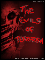



 $\overline{\mathbf{0}}$ 

 $\left( 0 \right)$ 

吧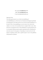## **©** Copyright **SalafiManhaj** 2005 URL: **www.SalafiManhaj.com**

E-mail: admin@salafimanhaj.com

Important Note:

The following document is an on-line book publishing of www.SalafiManhaj.com. This book was formatted and designed specifically for being placed on the Web and for its easy and convenient distribution. At the time of this e-book publishing, we are not aware of any other book similar to it, in terms of its translation from its original Arabic source. Since this book was prepared for free on-line distribution we grant permission for it to be printed, disbursed, photocopied, reproduced and/or distributed by electronic means for the purpose of spreading its content and not for the purpose of gaining a profit, unless a specific request is sent to the publishers and permission is granted.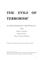# **THE EVILS OF TERRORISM[1](#page-2-0)**

*By Shaykh Muhammad ibn Abdul-Wahhaab al-*

*'Aqeel* 

*Professor of 'Aqeedah College of Da'wah, Islamic University of Madeenah* 

*Translated by AbdulHaq ibn Kofi ibn Kwesi ibn Kwaku al-Ashanti* 

<span id="page-2-0"></span><sup>&</sup>lt;sup>1</sup> This lecture was given on Saturday August 20<sup>th</sup> 2005 via tele-link at *Masjid Ibn Taymeeyah* (Brixton Mosque, London) and was translated at the *masjid* by Umar al-Jamaykee.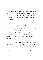As mentioned in the introduction and in order to make it clear, Islaam is free from terrorism and corruption. Islaam is established upon mercy, justice, mutual love and concern with rectifying the earth and its people, Islaam therefore forbids corrupting the earth and its people.

Then we mentioned the excellent interaction that the Prophet *(sallallaahu alayhi wassallam)* had with the people, from the *kuffaar* (disbelievers), such as the people of the book such as Jews and Christians. The Prophet *(sallallaahu alayhi wassallam)* interacted with people with justice, mercy and loving good for the people. In all of the battles that the Prophet *(sallallaahu alayhi wassallam)* participated in was in order to spread this goodness, mercy, justice and love amongst the people, therefore, Islaam is free from this call to terrorism.

As for the term terrorism in the Arabic language '*irhaab'* this is a new term which is not found within the classical Arabic dictionaries at all. Rather it has only surfaced in the modern era due to some people utilising it as a specific method yet with unlegislated means, such as violence, killing, breeding fear and its like. Some of these dictionaries mention that the 'terrorist' is: one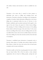who utilises violence and terrorism in order to establish his own rule.

Terrorism is the terror that is caused by those groups or individuals who resort to killing and wreaking havoc and destruction. Terrorism is therefore, according to the contemporary compilers of modern Arabic dictionaries, killing akin to the riotous killing that is mentioned within the texts of *Shar'eeah*. As the Prophet *(sallallaahu alayhi wassallam)* mentioned with regards to the signs of the end of time, the spread of *'al-Harj'* (riotous killing). The meaning of *'al-Harj'* is killing and the increase of the spilling blood, which is all from the signs of the end of time. To the extent that the one killing will not know why he is killing and the one that was killed will not know why he/she was killed. Islaam is free from this riotous killing, free from this terrorism and free from this kind of corruption.

Terrorism is established upon destruction of properties such as factories, farms, places of worship, train stations, airports and the likes; Islaam is clearly free from such actions that are based upon corruption and not upon rectification.

Terrorists usually say that they are going against the state in which they are based within. This is like the mafia or other criminal organisations that are based on killing people, causing fear and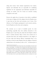<span id="page-5-0"></span>taking their monies. Such criminal organisations have leaders, deputies and individuals that are responsible for establishing regulations for the organisation and individuals responsible for carrying out attacks, and all of them are terrorists causing corruption on the earth.

However the ugliest face of terrorism is that which is established in the name of religion, all of the religions from the Prophets *(peace be upon them)* are free from such terrorism, even if some of the followers of the Prophets participated in such terrorist activities, but the Prophets are free from such corruptions.

The terrorists are in need of doubtful proofs for their methodology especially those who attribute themselves to the Prophets *(peace be upon them)*, they claim that the Prophets ordered them to commit terrorism. Many of those who commit acts of terrorism from those who attribute themselves to the religion of the Jews claim that Moosaa (Moses) commanded them to do terrorism or that the other Prophets from the children of Israa'eel ordered them to do terrorism yet this is a lie.<sup>2</sup> As Moosaa (peace be

<sup>2</sup> This has also been attested by some Jewish writers such as Israel Shahak in his book *Jewish History, Jewish Religion – The Weight of Three Thousand Years* (Pluto Press). He notes how the Talmud mentions that if a Jew passes near an inhabited non-Jewish dwelling, he must ask God to destroy it, whereas if the building is in ruins he must thank the Lord for his retribution on the 'Gentiles'. (p. 93 – quoting the *Tractate Berakhot*, p.58b) furthermore, Shahak notes Rabbi Shabbtay Kohen (mid 17th century), *Siftey Kohen* on *Shulhan 'Arukh*, *'Yoreh De'ah'*, 158: "But in times of war it was the custom to kill them with one's own hands, for it is said,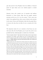*upon him)* and all of the Prophets from the children of Israa'eel (peace be upon them) never ever ordered people to commit terrorism.

Likewise, those who commit acts of terrorism and attribute themselves to Eesaa (Jesus) claim that the gospels sanction terrorism and the use of it over the enemy.<sup>3</sup> I have some texts which I have gathered from other sources wherein such terrorists (in the name of Jesus and Christianity) claim that the gospel allows it, however the time does not allow for me to mention all of this here.

The important matter for us to mention is that Eesaa was sent with mercy like all of the Prophets, *peace be upon them*, and it is not possible that they ordered people to commit acts of terrorism.

<sup>&</sup>quot;The best of gentiles, kill him!"." *Siftey Kohen* and *Turey Zahay* are the two major classical commentaries on the *Shulhan 'Arukh*. (Shahak, pp.76 and 113). Michael Hoffman on his website that discusses Jewish affairs notes that according to Jewish teachings non-Jewish women are **"Niddah, Shifchah, Goyyah and Zonah (menstrual filth, slaves, heathens and whores)."** [Translator's Note]

<span id="page-6-0"></span><sup>&</sup>lt;sup>3</sup> Christian groups such as the Catholic *IRA* in Northern Ireland and its offshoots such as the *Real IRA* have sanctioned terrorism. On the side are the Protestants in Northern Ireland with many of the Ulster based pro-British unionist groups which have also participated in terrorism. In Spain, the Basque separatist group *Eta* are well known for their terrorism which they justify in the name of nationalism and religion. Also in Latin America there are a number of terrorist cells that operate under the banner of Christianity. Also in Europe the neo-Nazi groups who also perform a number of terrorist activities under the pretext of preserving Anglo-saxon Christianity and European heritage. From the *mushriks* there are the likes of the *Aum* cult of Japan who commanded chemical attacks upon the Japanese tube network in the 1990s and also in Sri Lanka the *Tamil Tigers* terrorist group. [Translator's Note]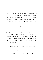Likewise, those who attribute themselves in this era from the people of corruption, bombing and *takfeer* within the Muslim countries and the non-Muslim countries, need certain texts from the Qur'aan and *sunnah* for them to refer. They claim that such texts lead to terrorism but they are lying about this as the Prophet *(sallallaallaahu alayhi wassallam)* is totally free from terrorism. For that reason, the Muslim scholars have denounced all acts of terrorism that are committed by those who associate themselves with Islaam.

The Muslim scholars denounced the attacks on the world trade buildings in New York and made clear that those who committed the act were criminals and that they had nothing to do with Islaam and that they merely killed themselves, and whoever kills themselves intentionally will be in hellfire killing themselves, and Allaah's refuge is sought.

Similarly, the Muslim scholars denounced the terrorist attacks committed by those who associate themselves with Islaam that took place in the Kingdom of Saudi Arabia. The scholars also denounced the terrorist attacks committed by those who associate themselves with Islaam that took place in Sharm ash-Sheikh in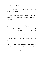Egypt. The scholars also denounced the terrorist attacks that took place on the tube stations in London, they denounced this and made clear that Islaam has nothing to do with such actions and that Islaam is free of them.

The doubts of the terrorists, with regards to their twisting of the texts, are with the verse from *Soorah al-Anfaal* verse 60 wherein Allaah says:

**"And prepare against them whatever you are able of power and of steeds of war by which you may terrify the enemy of Allaah and your enemy and others besides them whom you do not know (but) Allaah knows. And whatever you spend in the cause of Allaah will be fully repaid to you, and you will not be wronged."** 

*{al-Anfaal (8): 60}* 

The verse that comes after it explains it perfectly, wherein Allaah says:

## **"And if they incline towards peace, then incline to it also and rely upon Allaah. Indeed, it is He who is the Hearing, the Knowing."**

*{al-Anfaal (8): 61}*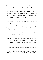This verse explains the initial verse perfectly, as Allaah within this verse explains the condition of the Muslims with non-Muslims.

The first state is one of war, and war is usually not between individual Muslims and individual *kuffaar*, no! War is between the armies of the Muslim state and the armies of a disbelieving state and we should not be ashamed of this at all.

All of the Prophets *(peace be upon them)* fought and prepared armies, and people up until this day have armies and prepare military strength. All of the great states in every time and place have prepared armies and have obtained a variety of weapons in order to frighten people. Obtaining weapons is a defensive and preventative method not an offensive method, as if the enemy knows that you have a number of devastating weapons he will not even consider to go to war against you.

Rather the great states, past and present, have been concerned with forming armed groups in order to frighten their enemies such as the Warsaw pact,<sup>4</sup>  $NATO<sup>5</sup>$  $NATO<sup>5</sup>$  $NATO<sup>5</sup>$  and other large alliances that are

<span id="page-9-1"></span><span id="page-9-0"></span><sup>4</sup> The Warsaw Pact, also known as the '*Warsaw Treaty'*, was a military alliance of the Eastern European countries (the Eastern Bloc) who intended to organise against the perceived threat from *NATO*. The Pact was prompted by the integration of a 're-militarised' west Germany into *NATO* via the ratification of the *Paris Agreement*. The *Warsaw Pact* was drafted by Nikita Krushchev in 1955 CE and singed in Warsaw. It came to an end and 1991 CE and was dissolved in Prague. [Translator's Note]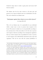<span id="page-10-0"></span>formed by large states in order to gain power and secure itself from its enemies.

The Islamic state has the same concern as all states past and present, yet it is upon an Islamic state not on individuals to do this. The verse is directed to an Islamic state:

### **"And prepare against them whatever you are able of power"**  *{al-Anfaal (80): 60}*

This is for an Islamic state. Is it permissible for any individual within a major state to store or possess mass weapons in his house? The answer is clearly no; it is not permissible according to the customary laws of that state rather it is for the state to possess such weapons. Likewise according to the contemporary regulations there are certain weapons that are prohibited for states to possess as such weapons cause indiscriminate destruction upon crops and vegetation.<sup>[6](#page-10-0)</sup> This can be seen with the current prohibition of

 <sup>5</sup> The *North Atlantic Trade Organisation*, sometimes referred to as the *'North Atlantic Alliance'*, the *'Atlantic Alliance'* or the *'Western Alliance'*. It is an international organisation for defence collaboration and was established in 1949 CE.<http://en.wikipedia.org/wiki/NATO>

<sup>6</sup> In Islaam, the Prophet Muhammad *(sallallaahu alayhi wassallam)* forbade the use of 'scorched earth policies' wherein crops, vegetation and livestock were destroyed, burned or devastated. The *kuffaar* also claim to prohibit such weapons that cause such indiscriminate destruction yet the reality is that it has mainly been the *kuffaar* nations who have utilised such weapons of 'mass destruction' such as on Hiroshima, Nagasaki, Vietnam, Afghanistan and Iraq. Depleted Uranium was used for the first time on Iraq during the first gulf war and it has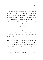nuclear weapons which cause devastation and serve no benefit in armies possessing them.

Also the verse says to an Islamic state that it is incumbent upon yourselves to be ready and be strong so that the enemy will fear you and will not even think about going to war against you. As if you are weak the enemy will easily be able to gain power over you and if you are strong, the enemy will fear you. This verse is directed to an Islamic state not individuals as every state today possesses weapons and power and guides its borders and keeps its affairs from its enemies and manufactures weapons. In the same way, an Islamic state guides its borders and affairs.

In terms of defining an enemy the first type are those who take its people and if *kuffaar* war against an Islamic state then it is incumbent, upon an Islamic state not individuals, to arm itself with necessary weapons.

As for the terrorist tribulations in the current era, then those people are not an Islamic state and they are also not those to whom the verse in the Qur'aan is directed to those who are the leaders of states, not individuals who live within a state. those individuals have to listen to the ruler of the Muslims and obey him

a radioactive future of 125,000 years, like the effects of *Agent Orange* (which was used on Vietnam) its effects on populations and on future generations are devastating. [TN]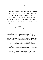<span id="page-12-0"></span>and not fight anyone except with the rulers permission and authorisation.

If the ruler of the Muslims has made agreements with disbelieving nations, such as Britain, America and France then it is not permissible for us to fight against a state that the leader of the Muslims has made agreements with. This is the case even if some aspects of the conditions of agreement seem oppressive on us, as the Prophet *(sallallaahu alayhi wassallam)* made an agreement with the *kuffaar* of Makkah even though some of the companions felt that some of the conditions were against the Muslims and hard on them, but the Prophet *(sallallaahu alayhi wassallam)* commanded them to listen and obey, and thus the companions listened and obeyed.[7](#page-12-0)

<sup>7</sup> The Shaykh *(hafidhahullaah)* is referring here to the *Hudaybiyah Treaty* which was made between the Muslims and the polytheists of Quraysh. When the *mushrikeen* of Quraysh witnessed the determination of the Muslims to risk their lives, properties, wealth and families for their faith in order to spread it peacefully, they realised that the Prophet Muhammad *(sallallaahu alayhi wassallam)* and his followers *(radi Allaahu 'anhum)* could not be bullied or frightened by mere scare tactics. Therefore, a treaty of reconciliation and peace was made between the Quraysh and the Muslims. The clauses of the treaty were:

<sup>•</sup> The Muslims would return and come back in the following year (7 AH) but they would not stay in Makkah for more than three days and without arms except those concealed.

<sup>•</sup> War activities were to be suspended for ten years, during which both sides will live in security with neither side waging war against the other.

<sup>•</sup> Whoever wishes to join Muhammad *(sallallaahu alayhi wassallam)* was free to do so and likewise whoever wished to join the *mushrikeen* of the Quraysh was also free to do so.

<sup>•</sup> If anyone from the Quraysh joins Muhammad *(sallallaahu alayhi wassallam)* without his parent's or guardian's permission, he should be sent back to the Quraysh, but should any of Muhammad's followers return to the Quraysh, he was not to be sent back. (Safiur-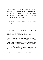As for those Muslims who are living within the *kuffaar* states then the Divine Legislation, intellect and customs indicate that it is not permissible for a Muslim that has entered a disbelieving country to cheat them.<sup>[8](#page-13-0)</sup> Rather it is for every Muslim within such disbelieving countries to respect the agreements and promises that were made in order to enter and live in the country.

Indeed, it is upon such a Muslim, according to the intellect and the Divine Legislation, to show thanks and gratitude to the people of such a country and to be good with them and be merciful with

 $\overline{a}$ 

The treaty was significant in that the Quraysh began to recognise the Muslims legitimate existence and began to deal with them on equal terms. Safiur-Rahman al-Mubarakpuri notes in his biography of the Prophet Muhammad *(sallallaahu alayhi wassallam)* pp.407-408: "The Muslims did not have in mind to seize people's property or kill them through bloody wars, nor did they ever think of using any compulsive approaches in their efforts to propagate Islam, on the contrary their sole target was to provide an atmosphere of freedom in ideology or religion, **"Then whosoever wills, let him believe, and whosoever wills, let him disbelieve.""** *{al-Kahf (18): 29}*  the Muslims, on the other hand, had the opportunity to spread Islam over areas not then explored. When there was the peace agreement, war was abolished, and men met and consulted each together, none talked about Islam intelligently without entering it; within two years following the conclusion of the treaty, twice as many people entered Islam than ever before. This is supported by the fact that the Prophet *(sallallaahu alayhi wassallam)* went out to al-Hudaybiyah with only 1400 men, but when he set out to liberate Makkah, two years later, he had 10,000 men with him.  $[TN]$ 

Rahman al-Mubarakpuri, *The Sealed Nectar (ar-Raheequl-Makhtum)* Darusalam, 2002, p.403)

<span id="page-13-0"></span><sup>&</sup>lt;sup>8</sup> This is for those Muslims who have entered a non-Muslim country and also those Muslims who were born and raised within non-Muslim countries. [TN]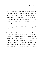them and be kind with them and thank them for allowing them to live amongst them in their country.

These disbelievers have allowed them to enter the country and have allowed them to seek Islamic knowledge and have allowed them to study and have allowed them to work and conduct business within their countries. It may even be the case that some Muslims take monies from the *kuffaar* countries (such as social benefits and welfare state handouts) or utilise a card under their sponsorship or obtain a passport from them in order to travel the world mighty and honoured under their sponsorship. The Prophet *(sallallaahu alayhi wassallam)* said: *"Whoever does not thank the people has not thanked Allaah."* 

Therefore those who have entered *kuffaar* countries should indeed show gratitude to them for allowing them to enter their countries. As now they have money and honour and if not for the *kuffaar* and the police within those countries maybe his money would have been taken or he would have been killed or his honour would have been disrespected. However, the laws and organisation of those *kuffaar* countries, and we do not say that all of what is in them is true, we rather just emphasise this point alone, have allowed them into the country and as a result such Muslims should fear Allaah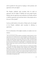and be grateful for that good by keeping to their promises and agreements with such *kuffaar*. [9](#page-15-0)

The Prophet *(sallallaahu alayhi wassallam)* when he made an agreement with the *kuffaar* of Makkah and some people became Muslims after the agreement and rectification, the Prophet still had to fulfil the agreement and send them back to their people such as the case of Aboo Jandal.<sup>[10](#page-15-1)</sup>

Look my noble brother at the justice of Islaam and to the strength of the Prophet *(sallallaahu alayhi wassallam)* in adhering to agreements.

So in our discussion of the *kuffaar* countries, we mainly cover two matters:

<span id="page-15-0"></span><sup>9</sup> This is one of the areas in which the *takfeerees* and *jihaadees* contradict themselves. For they argue about the evil of a Muslim ruler due to a perceived allegiance to the *kuffaar* and their ways, yet they do the every same, if not worse, by: running to *kuffaar* countries, consuming large sums of *kuffaar* state benefit handouts; taking welfare allowances from "HRM's" benevolence; paying all required taxes; sending their children to *kuffaar* hospitals and entertainment centres and the likes, yet do not also see all of this has "loving the *kuffaar*" or as emphasising the weakness of the Muslims!? Indeed, many of them even claim that what they do is merely part of their "*jihaad* efforts"!!? [TN]

<span id="page-15-1"></span><sup>&</sup>lt;sup>10</sup> Aboo Jandal *(radi Allaahu 'anhu)* was brutally chained and was suffering great hardship and oppression. The Prophet *(sallallaahu alayhi wassallam)* and the companions *(radi Allaahu 'anhum)* tried to secure his release but Aboo Jandal's father Suhayl was unyielding and would not hand Aboo Jandal over due to the treaty which had been agreed between the Prophet and the *mushrikeen* of Quraysh. Aboo Jandal *(radi Allaahu 'anhu)* did not want to remain with the *mushrikeen* yet the Prophet *(sallallaahu alayhi wassallam)* had to honour his word and adhere to the agreement. [TN]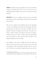**FIRST:** The Islamic state, like a *kuffaar* state, has to arm itself with weapons and defend itself. This is for a state and not for us individuals within an Islamic state who have to listen to the ruler and obey.

**SECOND:** If we are in a *kuffaar* country we have to fear Allaah and thank such states for providing us with good such as entering their countries.

The verse in *al-Anfaal* is for the Muslim states not for individuals to carry out and Muslim states today arm and prepare themselves and prioritise such matters as all states do. Indeed, they even purchase weapons from *kuffaar* states from the west and east in order to gather weapons and empower itself and to guard its borders as much as it is able to. For this reason, the land of Islaam has been protected on many occasions from the plans of the *kuffaar*, and all praise is due to Allaah.

For example, we are now in conflict with the state known as 'Israel' and we have been for over fifty years, thus it arms itself and empowers itself via purchasing weapons from the east and west $^{11}$  and thus we also purchase weapons from the east and west

<span id="page-16-0"></span><sup>&</sup>lt;sup>11</sup> *Time Magazine* (August 24 1998, vol. 152, no.8, p.12) noted once that: Israel is an undeclared nuclear power that is thought to have over 200 warheads it was also active in the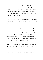and there is no shame in this. No Muslims or *kuffaar* have said that you should not arm yourselves; only some states that aligned themselves with Germany during the Second World War are prohibited from arming themselves to a considerable extent such as Japan and Switzerland according to the laws, as they have a prior experience with exploiting armaments.

There is no shame in a Muslim state in purchasing weapons but what is a problem is to establish tribulations such as the mafia, highway robbers or terrorists, who kill, devastate and cause corruption.

Going back to the verse then, it is a command for an Islamic state and not for individual Muslims within a state as individual Muslims are under the jurisdiction of the Islamic state. If the leader of the Muslims has made an agreement with other states then it is not permissible at all for us to wage war against the citizens of such states. It is not permissible for a Muslim to fight the *kuffaar* with whom the leader of the Muslims has an agreement.

So with this may Allaah preserve and protect you, Allaah has legislated laws and regulations for Muslims to interact with non-Muslims. We find that these regulations are clear and with no doubts within them.

production of plutonium and highly enriched uranium, the makings of nuclear bombs. Israel wishes to maintain a certain ambiguity around its nuclear status. [TN]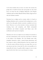As for those bombers that you have over there who terrorise the people then it should be known that such people not only wreak havoc over there but also in Makkah, Madeenah of the Prophet *(sallallaahu alayhi wassallam)*, Riyadh, Khobar, Shaam, Egypt and not only the Christian countries.

Terrorism has no religion and no country, rather it is based on kindling tribulations and is concerned with wreaking havoc on the earth or has other goals, whether economic or political, we do not know. However, we say that terrorism is always associated with wreaking havoc and corruption, and Allaah commanded rectification and forbade corruption and Islaam came with rectification and to prevent corruption.

Therefore, the verse in *al-Anfaal* is not an evidence for terrorism as all of the commentators of the verse have noted that it is directed to the leaders of the Muslims. All of the Muslim states today strengthen themselves, which a natural human phenomena, and have armies in order to defend themselves from any enemies and so that the enemy will know that they are strong. Have you ever seen anyone enter into a Lions den? No, this is not possible as it is strong. But the home of a gazelle, rabbit or pigeon is easy to enter upon, but the Lion's den is not as easy because it is strong.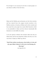Even though it is not necessary for the lion to attack people as it eats whatever suffices it from the forest.

Islaam and the Muslims, past and present, are free from terrorism and have rejected those who support terrorist atrocities in the Muslim countries, in America, in Britain and in other countries and have stated that such people have merely killed themselves which is not permissible in Islaam and that whoever intentionally kills themselves is in the hellfire for eternity.

As for the spurious evidences that terrorists utilise then they are indeed many and the most important evidence that they use is the verse from *al-Anfaal*, yet Allaah says after it:

### **"And if they incline towards peace, then incline to it also and rely upon Allaah. Indeed, it is He who is the Hearing, the Knowing."**  *{al-Anfaal (8): 61}*